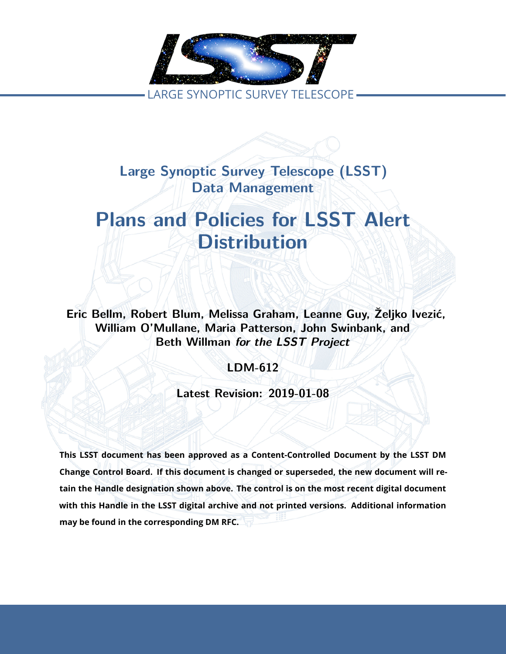

**Large Synoptic Survey Telescope (LSST) Data Management**

# **Plans and Policies for LSST Alert Distribution**

**Eric Bellm, Robert Blum, Melissa Graham, Leanne Guy, Željko Ivezić, William O'Mullane, Maria Patterson, John Swinbank, and Beth Willman** *for the LSST Project*

**LDM-612**

**Latest Revision: 2019-01-08**

**This LSST document has been approved as a Content-Controlled Document by the LSST DM Change Control Board. If this document is changed or superseded, the new document will retain the Handle designation shown above. The control is on the most recent digital document with this Handle in the LSST digital archive and not printed versions. Additional information may be found in the corresponding DM RFC.**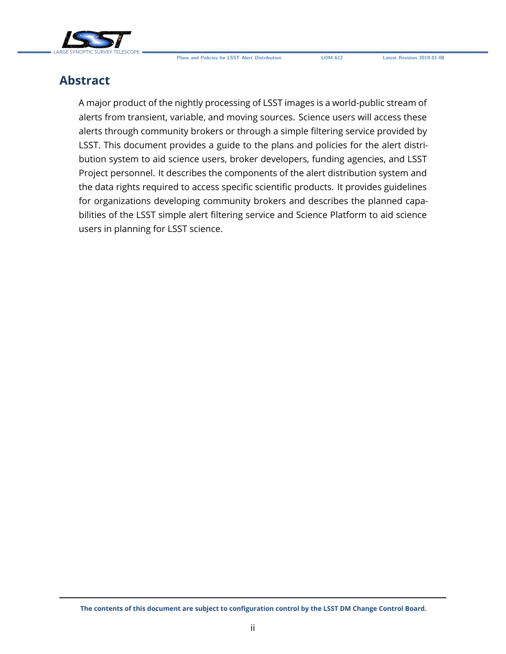

### **Abstract**

A major product of the nightly processing of LSST images is a world-public stream of alerts from transient, variable, and moving sources. Science users will access these alerts through community brokers or through a simple filtering service provided by LSST. This document provides a guide to the plans and policies for the alert distribution system to aid science users, broker developers, funding agencies, and LSST Project personnel. It describes the components of the alert distribution system and the data rights required to access specific scientific products. It provides guidelines for organizations developing community brokers and describes the planned capabilities of the LSST simple alert filtering service and Science Platform to aid science users in planning for LSST science.

**The contents of this document are subject to configuration control by the LSST DM Change Control Board.**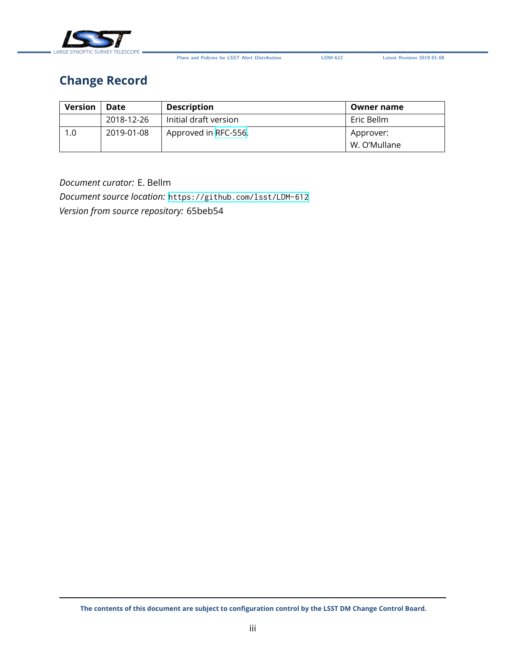

### **Change Record**

| <b>Version</b> | Date       | <b>Description</b>    | Owner name                |
|----------------|------------|-----------------------|---------------------------|
|                | 2018-12-26 | Initial draft version | Eric Bellm                |
| 1.0            | 2019-01-08 | Approved in RFC-556.  | Approver:<br>W. O'Mullane |

*Document curator:* E. Bellm

*Document source location:* <https://github.com/lsst/LDM-612> *Version from source repository:* 65beb54

**The contents of this document are subject to configuration control by the LSST DM Change Control Board.**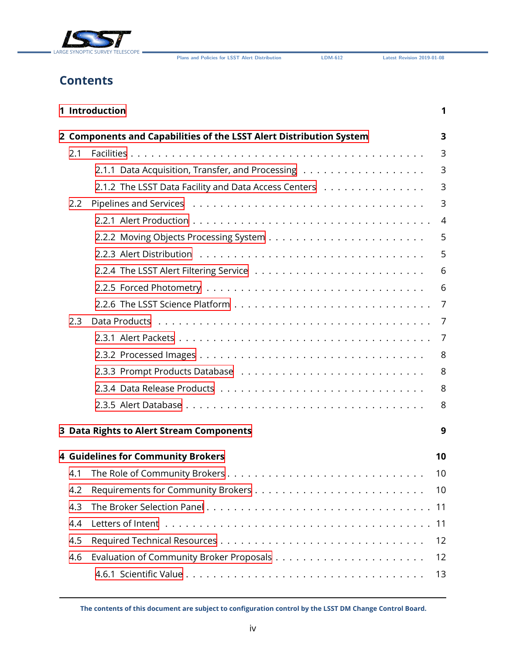

### **Contents**

|     | 1 Introduction                                                      | 1              |
|-----|---------------------------------------------------------------------|----------------|
|     | 2 Components and Capabilities of the LSST Alert Distribution System | 3              |
| 2.1 |                                                                     | 3              |
|     |                                                                     | 3              |
|     | 2.1.2 The LSST Data Facility and Data Access Centers                | 3              |
| 2.2 |                                                                     | 3              |
|     |                                                                     | $\overline{4}$ |
|     |                                                                     | 5              |
|     |                                                                     | 5              |
|     |                                                                     | 6              |
|     |                                                                     | 6              |
|     |                                                                     | $\overline{7}$ |
| 2.3 |                                                                     | 7              |
|     |                                                                     | 7              |
|     |                                                                     | 8              |
|     |                                                                     | 8              |
|     |                                                                     | 8              |
|     |                                                                     | 8              |
|     | 3 Data Rights to Alert Stream Components                            | 9              |
|     |                                                                     |                |
|     | <b>4 Guidelines for Community Brokers</b>                           | 10             |
| 4.1 |                                                                     | 10             |
| 4.2 |                                                                     | 10             |
| 4.3 |                                                                     | 11             |
| 4.4 |                                                                     | 11             |
| 4.5 |                                                                     | 12             |
| 4.6 |                                                                     | 12             |
|     |                                                                     | 13             |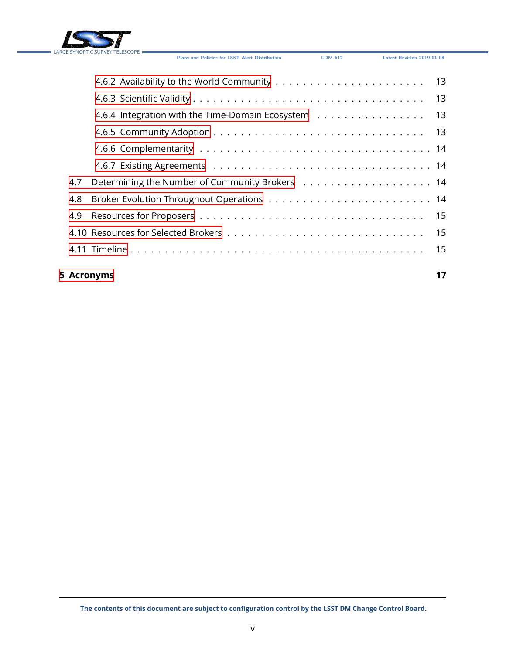

|     | 4.6.4 Integration with the Time-Domain Ecosystem 13 |  |
|-----|-----------------------------------------------------|--|
|     |                                                     |  |
|     |                                                     |  |
|     |                                                     |  |
| 4.7 |                                                     |  |
| 4.8 |                                                     |  |
|     |                                                     |  |
|     |                                                     |  |
|     |                                                     |  |
|     |                                                     |  |

### **[5 Acronyms](#page-21-0) 17**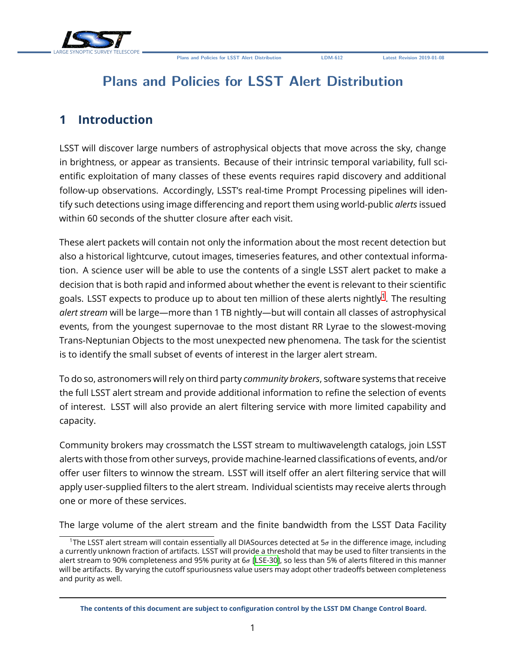### **Plans and Policies for LSST Alert Distribution**

### <span id="page-5-0"></span>**1 Introduction**

LSST will discover large numbers of astrophysical objects that move across the sky, change in brightness, or appear as transients. Because of their intrinsic temporal variability, full scientific exploitation of many classes of these events requires rapid discovery and additional follow-up observations. Accordingly, LSST's real-time Prompt Processing pipelines will identify such detections using image differencing and report them using world-public *alerts* issued within 60 seconds of the shutter closure after each visit.

These alert packets will contain not only the information about the most recent detection but also a historical lightcurve, cutout images, timeseries features, and other contextual information. A science user will be able to use the contents of a single LSST alert packet to make a decision that is both rapid and informed about whether the event is relevant to their scientific goals. LSST expects to produce up to about ten million of these alerts nightly $^{\rm 1}.$  $^{\rm 1}.$  $^{\rm 1}.$  The resulting *alert stream* will be large—more than 1 TB nightly—but will contain all classes of astrophysical events, from the youngest supernovae to the most distant RR Lyrae to the slowest-moving Trans-Neptunian Objects to the most unexpected new phenomena. The task for the scientist is to identify the small subset of events of interest in the larger alert stream.

To do so, astronomers will rely on third party *community brokers*, software systems that receive the full LSST alert stream and provide additional information to refine the selection of events of interest. LSST will also provide an alert filtering service with more limited capability and capacity.

Community brokers may crossmatch the LSST stream to multiwavelength catalogs, join LSST alerts with those from other surveys, provide machine-learned classifications of events, and/or offer user filters to winnow the stream. LSST will itself offer an alert filtering service that will apply user-supplied filters to the alert stream. Individual scientists may receive alerts through one or more of these services.

The large volume of the alert stream and the finite bandwidth from the LSST Data Facility

<span id="page-5-1"></span><sup>&</sup>lt;sup>1</sup>The LSST alert stream will contain essentially all DIASources detected at  $5\sigma$  in the difference image, including a currently unknown fraction of artifacts. LSST will provide a threshold that may be used to filter transients in the alert stream to 90% completeness and 95% purity at  $6\sigma$  [\[LSE-30](#page-21-1)], so less than 5% of alerts filtered in this manner will be artifacts. By varying the cutoff spuriousness value users may adopt other tradeoffs between completeness and purity as well.

**The contents of this document are subject to configuration control by the LSST DM Change Control Board.**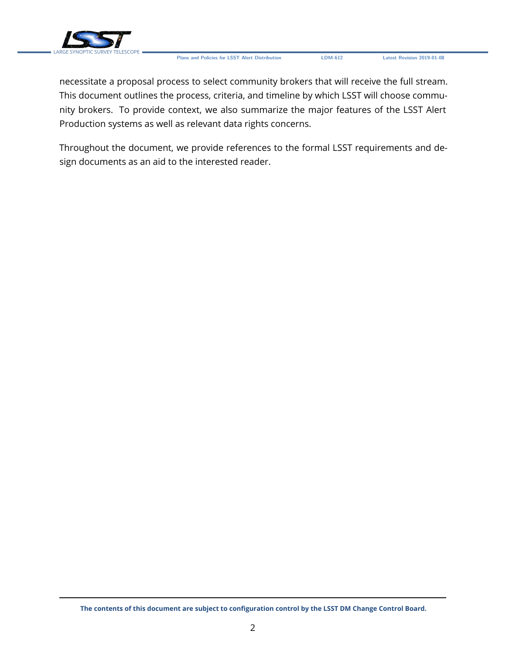

necessitate a proposal process to select community brokers that will receive the full stream. This document outlines the process, criteria, and timeline by which LSST will choose community brokers. To provide context, we also summarize the major features of the LSST Alert Production systems as well as relevant data rights concerns.

Throughout the document, we provide references to the formal LSST requirements and design documents as an aid to the interested reader.

**The contents of this document are subject to configuration control by the LSST DM Change Control Board.**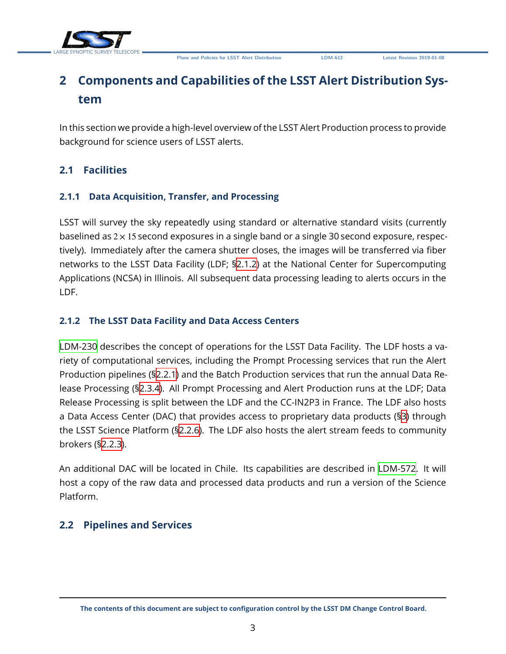



## <span id="page-7-0"></span>**2 Components and Capabilities of the LSST Alert Distribution System**

In this section we provide a high-level overview of the LSST Alert Production process to provide background for science users of LSST alerts.

### <span id="page-7-2"></span><span id="page-7-1"></span>**2.1 Facilities**

### **2.1.1 Data Acquisition, Transfer, and Processing**

LSST will survey the sky repeatedly using standard or alternative standard visits (currently baselined as  $2 \times 15$  second exposures in a single band or a single 30 second exposure, respectively). Immediately after the camera shutter closes, the images will be transferred via fiber networks to the LSST Data Facility (LDF; [§2.1.2\)](#page-7-3) at the National Center for Supercomputing Applications (NCSA) in Illinois. All subsequent data processing leading to alerts occurs in the LDF.

### <span id="page-7-3"></span>**2.1.2 The LSST Data Facility and Data Access Centers**

[LDM-230](#page-22-0) describes the concept of operations for the LSST Data Facility. The LDF hosts a variety of computational services, including the Prompt Processing services that run the Alert Production pipelines (§[2.2.1](#page-7-5)) and the Batch Production services that run the annual Data Release Processing (§[2.3.4](#page-12-2)). All Prompt Processing and Alert Production runs at the LDF; Data Release Processing is split between the LDF and the CC-IN2P3 in France. The LDF also hosts a Data Access Center (DAC) that provides access to proprietary data products (§[3](#page-13-0)) through the LSST Science Platform (§[2.2.6](#page-11-0)). The LDF also hosts the alert stream feeds to community brokers (§[2.2.3](#page-9-0)).

An additional DAC will be located in Chile. Its capabilities are described in [LDM-572](#page-22-1). It will host a copy of the raw data and processed data products and run a version of the Science Platform.

### <span id="page-7-5"></span><span id="page-7-4"></span>**2.2 Pipelines and Services**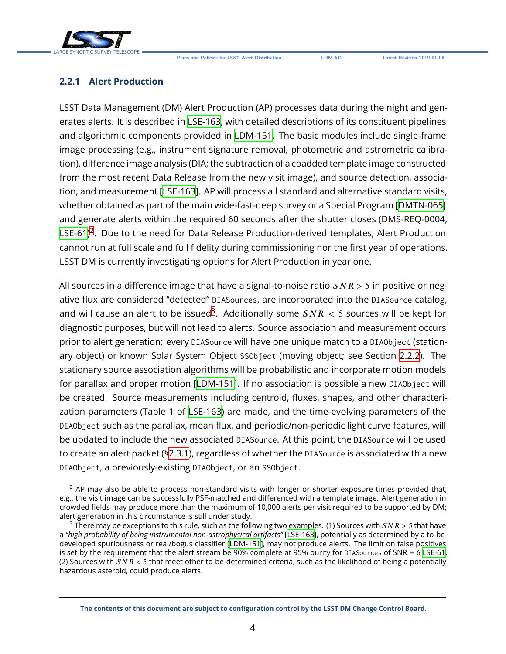



#### **2.2.1 Alert Production**

LSST Data Management (DM) Alert Production (AP) processes data during the night and generates alerts. It is described in [LSE-163](#page-22-2), with detailed descriptions of its constituent pipelines and algorithmic components provided in [LDM-151](#page-22-3). The basic modules include single-frame image processing (e.g., instrument signature removal, photometric and astrometric calibration), difference image analysis (DIA; the subtraction of a coadded template image constructed from the most recent Data Release from the new visit image), and source detection, association, and measurement[[LSE-163\]](#page-22-2). AP will process all standard and alternative standard visits, whether obtained as part of the main wide-fast-deep survey or a Special Program [\[DMTN-065](#page-22-4)] and generate alerts within the required 60 seconds after the shutter closes (DMS-REQ-0004, [LSE-61\)](#page-22-5)<sup>[2](#page-8-1)</sup>. Due to the need for Data Release Production-derived templates, Alert Production cannot run at full scale and full fidelity during commissioning nor the first year of operations. LSST DM is currently investigating options for Alert Production in year one.

All sources in a difference image that have a signal-to-noise ratio  $SNR > 5$  in positive or negative flux are considered "detected" DIASources, are incorporated into the DIASource catalog, and will cause an alert to be issued $^3$  $^3$ . Additionally some  $SNR < 5$  sources will be kept for diagnostic purposes, but will not lead to alerts. Source association and measurement occurs prior to alert generation: every DIASource will have one unique match to a DIAObject (stationary object) or known Solar System Object SSObject (moving object; see Section [2.2.2](#page-8-0)). The stationary source association algorithms will be probabilistic and incorporate motion models for parallax and proper motion[[LDM-151](#page-22-3)]. If no association is possible a new DIAObject will be created. Source measurements including centroid, fluxes, shapes, and other characterization parameters (Table 1 of [LSE-163](#page-22-2)) are made, and the time-evolving parameters of the DIAObject such as the parallax, mean flux, and periodic/non-periodic light curve features, will be updated to include the new associated DIASource. At this point, the DIASource will be used to create an alert packet ([§2.3.1\)](#page-11-2), regardless of whether the DIASource is associated with a new DIAObject, a previously-existing DIAObject, or an SSObject.

<span id="page-8-1"></span><span id="page-8-0"></span> $2$  AP may also be able to process non-standard visits with longer or shorter exposure times provided that, e.g., the visit image can be successfully PSF-matched and differenced with a template image. Alert generation in crowded fields may produce more than the maximum of 10,000 alerts per visit required to be supported by DM; alert generation in this circumstance is still under study.

<span id="page-8-2"></span><sup>&</sup>lt;sup>3</sup> There may be exceptions to this rule, such as the following two examples. (1) Sources with  $SNR > 5$  that have a *"high probability of being instrumental non-astrophysical artifacts"* [[LSE-163](#page-22-2)], potentially as determined by a to-bedeveloped spuriousness or real/bogus classifier[[LDM-151](#page-22-3)], may not produce alerts. The limit on false positives is set by the requirement that the alert stream be 90% complete at 95% purity for DIASources of SNR = 6 [LSE-61](#page-22-5). (2) Sources with  $SNR < 5$  that meet other to-be-determined criteria, such as the likelihood of being a potentially hazardous asteroid, could produce alerts.

**The contents of this document are subject to configuration control by the LSST DM Change Control Board.**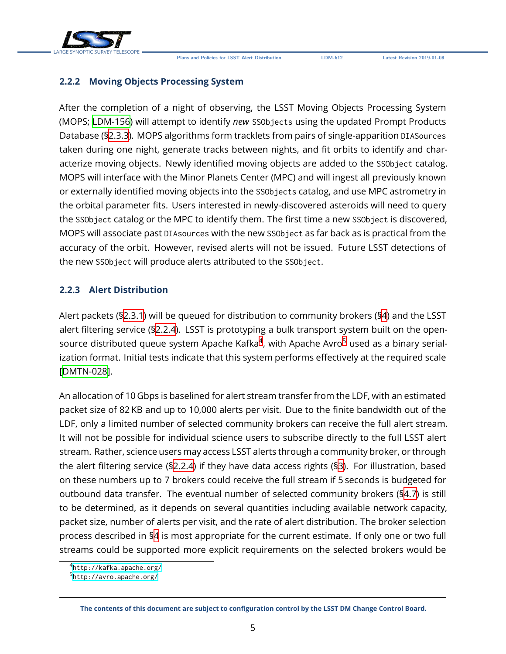

#### **2.2.2 Moving Objects Processing System**

After the completion of a night of observing, the LSST Moving Objects Processing System (MOPS; [LDM-156](#page-22-6)) will attempt to identify *new* SSObjects using the updated Prompt Products Database ([§2.3.3\)](#page-12-1). MOPS algorithms form tracklets from pairs of single-apparition DIASources taken during one night, generate tracks between nights, and fit orbits to identify and characterize moving objects. Newly identified moving objects are added to the SSObject catalog. MOPS will interface with the Minor Planets Center (MPC) and will ingest all previously known or externally identified moving objects into the SSObjects catalog, and use MPC astrometry in the orbital parameter fits. Users interested in newly-discovered asteroids will need to query the SSObject catalog or the MPC to identify them. The first time a new SSObject is discovered, MOPS will associate past DIAsources with the new SSObject as far back as is practical from the accuracy of the orbit. However, revised alerts will not be issued. Future LSST detections of the new SSObject will produce alerts attributed to the SSObject.

#### <span id="page-9-0"></span>**2.2.3 Alert Distribution**

Alert packets ([§2.3.1\)](#page-11-2) will be queued for distribution to community brokers ([§4](#page-14-0)) and the LSST alert filtering service ([§2.2.4\)](#page-10-0). LSST is prototyping a bulk transport system built on the opensource distributed queue system Apache Kafka $^4$  $^4$ , with Apache Avro $^5$  $^5$  used as a binary serialization format. Initial tests indicate that this system performs effectively at the required scale [[DMTN-028\]](#page-22-7).

An allocation of 10 Gbps is baselined for alert stream transfer from the LDF, with an estimated packet size of 82 KB and up to 10,000 alerts per visit. Due to the finite bandwidth out of the LDF, only a limited number of selected community brokers can receive the full alert stream. It will not be possible for individual science users to subscribe directly to the full LSST alert stream. Rather, science users may access LSST alerts through a community broker, or through the alert filtering service (§[2.2.4](#page-10-0)) if they have data access rights ([§3\)](#page-13-0). For illustration, based on these numbers up to 7 brokers could receive the full stream if 5 seconds is budgeted for outbound data transfer. The eventual number of selected community brokers (§[4.7](#page-18-1)) is still to be determined, as it depends on several quantities including available network capacity, packet size, number of alerts per visit, and the rate of alert distribution. The broker selection process described in [§4](#page-14-0) is most appropriate for the current estimate. If only one or two full streams could be supported more explicit requirements on the selected brokers would be

<span id="page-9-1"></span><sup>4</sup> <http://kafka.apache.org/>

<span id="page-9-2"></span><sup>5</sup> <http://avro.apache.org/>

**The contents of this document are subject to configuration control by the LSST DM Change Control Board.**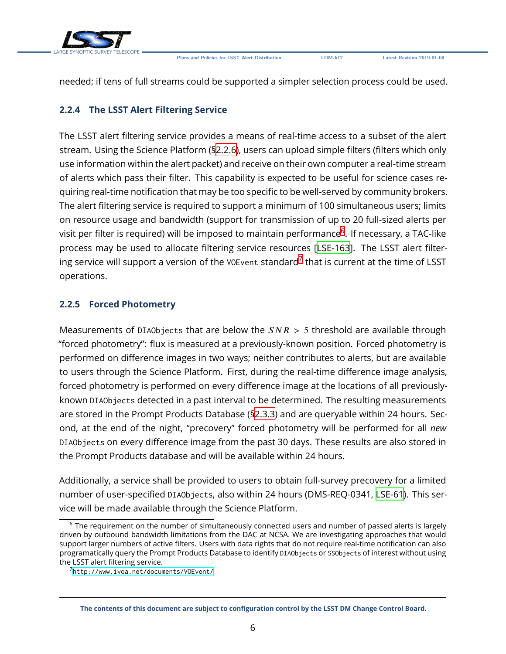

needed; if tens of full streams could be supported a simpler selection process could be used.

### <span id="page-10-0"></span>**2.2.4 The LSST Alert Filtering Service**

The LSST alert filtering service provides a means of real-time access to a subset of the alert stream. Using the Science Platform ([§2.2.6\)](#page-11-0), users can upload simple filters (filters which only use information within the alert packet) and receive on their own computer a real-time stream of alerts which pass their filter. This capability is expected to be useful for science cases requiring real-time notification that may be too specific to be well-served by community brokers. The alert filtering service is required to support a minimum of 100 simultaneous users; limits on resource usage and bandwidth (support for transmission of up to 20 full-sized alerts per visit per filter is required) will be imposed to maintain performance $^6$  $^6$ . If necessary, a TAC-like process may be used to allocate filtering service resources[[LSE-163\]](#page-22-2). The LSST alert filtering service will support a version of the <code>vo</code>E<code>vent</code> standard $^7$  $^7$  that is current at the time of <code>LSST</code> operations.

### <span id="page-10-1"></span>**2.2.5 Forced Photometry**

Measurements of DIAObjects that are below the  $SNR > 5$  threshold are available through "forced photometry": flux is measured at a previously-known position. Forced photometry is performed on difference images in two ways; neither contributes to alerts, but are available to users through the Science Platform. First, during the real-time difference image analysis, forced photometry is performed on every difference image at the locations of all previouslyknown DIAObjects detected in a past interval to be determined. The resulting measurements are stored in the Prompt Products Database ([§2.3.3\)](#page-12-1) and are queryable within 24 hours. Second, at the end of the night, "precovery" forced photometry will be performed for all *new* DIAObjects on every difference image from the past 30 days. These results are also stored in the Prompt Products database and will be available within 24 hours.

Additionally, a service shall be provided to users to obtain full-survey precovery for a limited number of user-specified DIAObjects, also within 24 hours (DMS-REQ-0341, [LSE-61\)](#page-22-5). This service will be made available through the Science Platform.

<span id="page-10-2"></span><sup>&</sup>lt;sup>6</sup> The requirement on the number of simultaneously connected users and number of passed alerts is largely driven by outbound bandwidth limitations from the DAC at NCSA. We are investigating approaches that would support larger numbers of active filters. Users with data rights that do not require real-time notification can also programatically query the Prompt Products Database to identify DIAObjects or SSObjects of interest without using the LSST alert filtering service.

<span id="page-10-3"></span><sup>7</sup> <http://www.ivoa.net/documents/VOEvent/>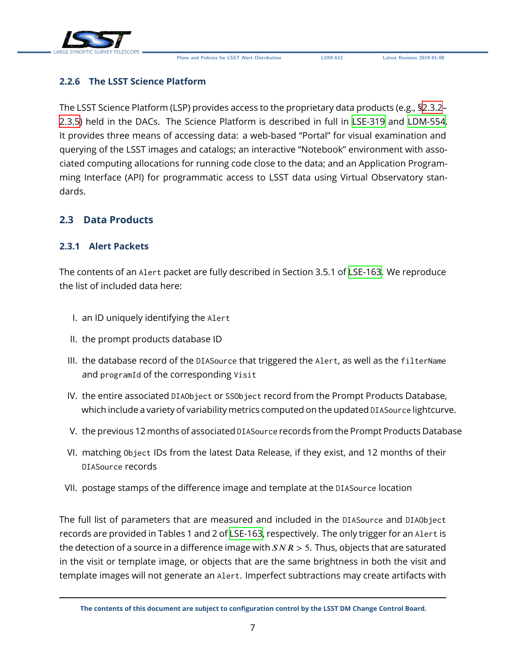

### <span id="page-11-0"></span>**2.2.6 The LSST Science Platform**

The LSST Science Platform (LSP) provides access to the proprietary data products (e.g., [§2.3.2–](#page-12-0) [2.3.5\)](#page-12-3) held in the DACs. The Science Platform is described in full in [LSE-319](#page-22-8) and [LDM-554](#page-22-9). It provides three means of accessing data: a web-based "Portal" for visual examination and querying of the LSST images and catalogs; an interactive "Notebook" environment with associated computing allocations for running code close to the data; and an Application Programming Interface (API) for programmatic access to LSST data using Virtual Observatory standards.

### <span id="page-11-2"></span><span id="page-11-1"></span>**2.3 Data Products**

#### **2.3.1 Alert Packets**

The contents of an Alert packet are fully described in Section 3.5.1 of [LSE-163.](#page-22-2) We reproduce the list of included data here:

- I. an ID uniquely identifying the Alert
- II. the prompt products database ID
- III. the database record of the DIASource that triggered the Alert, as well as the filterName and programId of the corresponding Visit
- IV. the entire associated DIAObject or SSObject record from the Prompt Products Database, which include a variety of variability metrics computed on the updated DIASource lightcurve.
- V. the previous 12 months of associated DIASource records from the Prompt Products Database
- VI. matching Object IDs from the latest Data Release, if they exist, and 12 months of their DIASource records
- VII. postage stamps of the difference image and template at the DIASource location

The full list of parameters that are measured and included in the DIASource and DIAObject records are provided in Tables 1 and 2 of [LSE-163,](#page-22-2) respectively. The only trigger for an Alert is the detection of a source in a difference image with  $SNR > 5$ . Thus, objects that are saturated in the visit or template image, or objects that are the same brightness in both the visit and template images will not generate an Alert. Imperfect subtractions may create artifacts with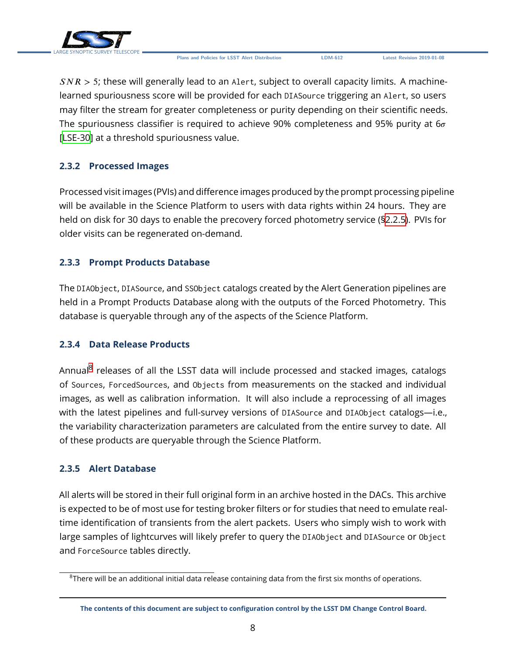

 $SNR > 5$ ; these will generally lead to an Alert, subject to overall capacity limits. A machinelearned spuriousness score will be provided for each DIASource triggering an Alert, so users may filter the stream for greater completeness or purity depending on their scientific needs. The spuriousness classifier is required to achieve 90% completeness and 95% purity at  $6\sigma$ [[LSE-30](#page-21-1)] at a threshold spuriousness value.

### <span id="page-12-0"></span>**2.3.2 Processed Images**

Processed visit images (PVIs) and difference images produced by the prompt processing pipeline will be available in the Science Platform to users with data rights within 24 hours. They are held on disk for 30 days to enable the precovery forced photometry service ([§2.2.5\)](#page-10-1). PVIs for older visits can be regenerated on-demand.

### <span id="page-12-1"></span>**2.3.3 Prompt Products Database**

The DIAObject, DIASource, and SSObject catalogs created by the Alert Generation pipelines are held in a Prompt Products Database along with the outputs of the Forced Photometry. This database is queryable through any of the aspects of the Science Platform.

### <span id="page-12-2"></span>**2.3.4 Data Release Products**

Annual<sup>[8](#page-12-4)</sup> releases of all the LSST data will include processed and stacked images, catalogs of Sources, ForcedSources, and Objects from measurements on the stacked and individual images, as well as calibration information. It will also include a reprocessing of all images with the latest pipelines and full-survey versions of DIASource and DIAObject catalogs—i.e., the variability characterization parameters are calculated from the entire survey to date. All of these products are queryable through the Science Platform.

### <span id="page-12-3"></span>**2.3.5 Alert Database**

All alerts will be stored in their full original form in an archive hosted in the DACs. This archive is expected to be of most use for testing broker filters or for studies that need to emulate realtime identification of transients from the alert packets. Users who simply wish to work with large samples of lightcurves will likely prefer to query the DIAObject and DIASource or Object and ForceSource tables directly.

<span id="page-12-4"></span> $8$ There will be an additional initial data release containing data from the first six months of operations.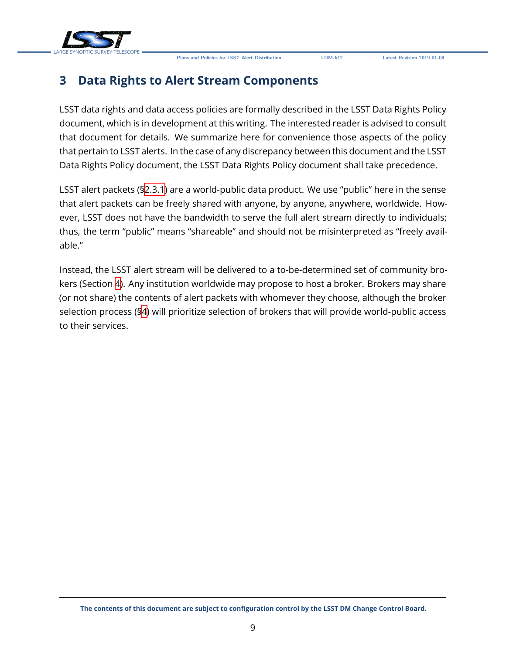

### <span id="page-13-0"></span>**3 Data Rights to Alert Stream Components**

LSST data rights and data access policies are formally described in the LSST Data Rights Policy document, which is in development at this writing. The interested reader is advised to consult that document for details. We summarize here for convenience those aspects of the policy that pertain to LSST alerts. In the case of any discrepancy between this document and the LSST Data Rights Policy document, the LSST Data Rights Policy document shall take precedence.

LSST alert packets (§[2.3.1](#page-11-2)) are a world-public data product. We use "public" here in the sense that alert packets can be freely shared with anyone, by anyone, anywhere, worldwide. However, LSST does not have the bandwidth to serve the full alert stream directly to individuals; thus, the term "public" means "shareable" and should not be misinterpreted as "freely available."

Instead, the LSST alert stream will be delivered to a to-be-determined set of community brokers (Section [4\)](#page-14-0). Any institution worldwide may propose to host a broker. Brokers may share (or not share) the contents of alert packets with whomever they choose, although the broker selection process (§[4\)](#page-14-0) will prioritize selection of brokers that will provide world-public access to their services.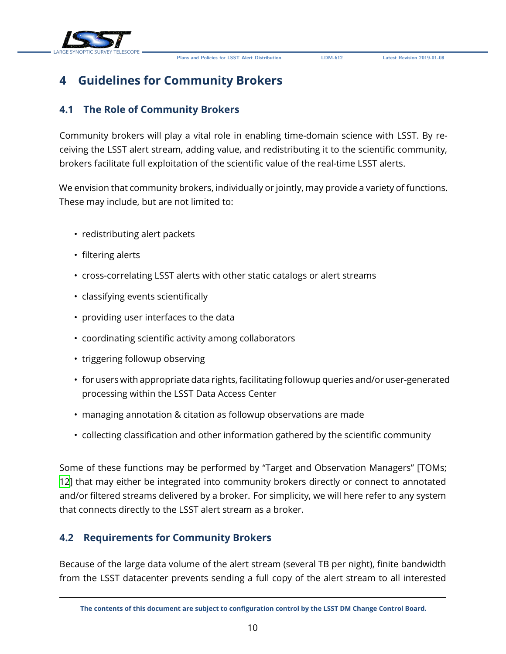



### <span id="page-14-0"></span>**4 Guidelines for Community Brokers**

### <span id="page-14-1"></span>**4.1 The Role of Community Brokers**

Community brokers will play a vital role in enabling time-domain science with LSST. By receiving the LSST alert stream, adding value, and redistributing it to the scientific community, brokers facilitate full exploitation of the scientific value of the real-time LSST alerts.

We envision that community brokers, individually or jointly, may provide a variety of functions. These may include, but are not limited to:

- redistributing alert packets
- filtering alerts
- cross-correlating LSST alerts with other static catalogs or alert streams
- classifying events scientifically
- providing user interfaces to the data
- coordinating scientific activity among collaborators
- triggering followup observing
- for users with appropriate data rights, facilitating followup queries and/or user-generated processing within the LSST Data Access Center
- managing annotation & citation as followup observations are made
- collecting classification and other information gathered by the scientific community

Some of these functions may be performed by "Target and Observation Managers" [TOMs; [12](#page-22-10)] that may either be integrated into community brokers directly or connect to annotated and/or filtered streams delivered by a broker. For simplicity, we will here refer to any system that connects directly to the LSST alert stream as a broker.

### <span id="page-14-2"></span>**4.2 Requirements for Community Brokers**

Because of the large data volume of the alert stream (several TB per night), finite bandwidth from the LSST datacenter prevents sending a full copy of the alert stream to all interested

**The contents of this document are subject to configuration control by the LSST DM Change Control Board.**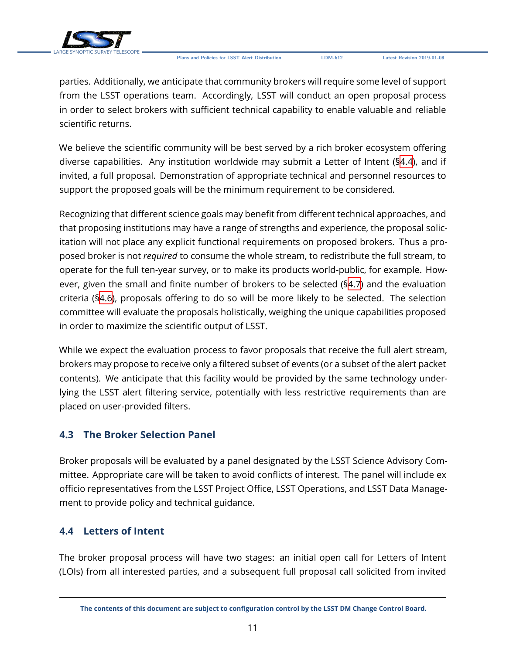

parties. Additionally, we anticipate that community brokers will require some level of support from the LSST operations team. Accordingly, LSST will conduct an open proposal process in order to select brokers with sufficient technical capability to enable valuable and reliable scientific returns.

We believe the scientific community will be best served by a rich broker ecosystem offering diverse capabilities. Any institution worldwide may submit a Letter of Intent ([§4.4\)](#page-15-1), and if invited, a full proposal. Demonstration of appropriate technical and personnel resources to support the proposed goals will be the minimum requirement to be considered.

Recognizing that different science goals may benefit from different technical approaches, and that proposing institutions may have a range of strengths and experience, the proposal solicitation will not place any explicit functional requirements on proposed brokers. Thus a proposed broker is not *required* to consume the whole stream, to redistribute the full stream, to operate for the full ten-year survey, or to make its products world-public, for example. However, given the small and finite number of brokers to be selected ([§4.7\)](#page-18-1) and the evaluation criteria ([§4.6\)](#page-16-1), proposals offering to do so will be more likely to be selected. The selection committee will evaluate the proposals holistically, weighing the unique capabilities proposed in order to maximize the scientific output of LSST.

While we expect the evaluation process to favor proposals that receive the full alert stream, brokers may propose to receive only a filtered subset of events (or a subset of the alert packet contents). We anticipate that this facility would be provided by the same technology underlying the LSST alert filtering service, potentially with less restrictive requirements than are placed on user-provided filters.

### <span id="page-15-0"></span>**4.3 The Broker Selection Panel**

Broker proposals will be evaluated by a panel designated by the LSST Science Advisory Committee. Appropriate care will be taken to avoid conflicts of interest. The panel will include ex officio representatives from the LSST Project Office, LSST Operations, and LSST Data Management to provide policy and technical guidance.

### <span id="page-15-1"></span>**4.4 Letters of Intent**

The broker proposal process will have two stages: an initial open call for Letters of Intent (LOIs) from all interested parties, and a subsequent full proposal call solicited from invited

**The contents of this document are subject to configuration control by the LSST DM Change Control Board.**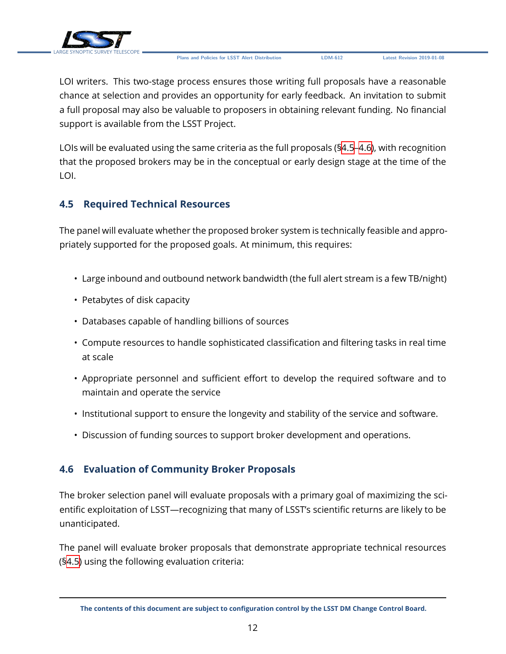

LOI writers. This two-stage process ensures those writing full proposals have a reasonable chance at selection and provides an opportunity for early feedback. An invitation to submit a full proposal may also be valuable to proposers in obtaining relevant funding. No financial support is available from the LSST Project.

LOIs will be evaluated using the same criteria as the full proposals ([§4.5](#page-16-0)[–4.6\)](#page-16-1), with recognition that the proposed brokers may be in the conceptual or early design stage at the time of the LOI.

### <span id="page-16-0"></span>**4.5 Required Technical Resources**

The panel will evaluate whether the proposed broker system is technically feasible and appropriately supported for the proposed goals. At minimum, this requires:

- Large inbound and outbound network bandwidth (the full alert stream is a few TB/night)
- Petabytes of disk capacity
- Databases capable of handling billions of sources
- Compute resources to handle sophisticated classification and filtering tasks in real time at scale
- Appropriate personnel and sufficient effort to develop the required software and to maintain and operate the service
- Institutional support to ensure the longevity and stability of the service and software.
- Discussion of funding sources to support broker development and operations.

### <span id="page-16-1"></span>**4.6 Evaluation of Community Broker Proposals**

The broker selection panel will evaluate proposals with a primary goal of maximizing the scientific exploitation of LSST—recognizing that many of LSST's scientific returns are likely to be unanticipated.

The panel will evaluate broker proposals that demonstrate appropriate technical resources (§[4.5\)](#page-16-0) using the following evaluation criteria:

**The contents of this document are subject to configuration control by the LSST DM Change Control Board.**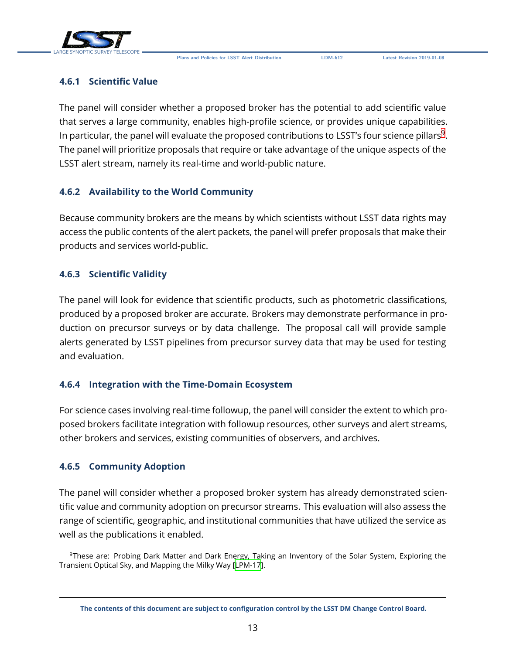

### <span id="page-17-0"></span>**4.6.1 Scientific Value**

The panel will consider whether a proposed broker has the potential to add scientific value that serves a large community, enables high-profile science, or provides unique capabilities. In particular, the panel will evaluate the proposed contributions to LSST's four science pillars $^9$  $^9$ . The panel will prioritize proposals that require or take advantage of the unique aspects of the LSST alert stream, namely its real-time and world-public nature.

### <span id="page-17-1"></span>**4.6.2 Availability to the World Community**

Because community brokers are the means by which scientists without LSST data rights may access the public contents of the alert packets, the panel will prefer proposals that make their products and services world-public.

#### <span id="page-17-2"></span>**4.6.3 Scientific Validity**

The panel will look for evidence that scientific products, such as photometric classifications, produced by a proposed broker are accurate. Brokers may demonstrate performance in production on precursor surveys or by data challenge. The proposal call will provide sample alerts generated by LSST pipelines from precursor survey data that may be used for testing and evaluation.

### <span id="page-17-3"></span>**4.6.4 Integration with the Time-Domain Ecosystem**

For science cases involving real-time followup, the panel will consider the extent to which proposed brokers facilitate integration with followup resources, other surveys and alert streams, other brokers and services, existing communities of observers, and archives.

#### <span id="page-17-4"></span>**4.6.5 Community Adoption**

The panel will consider whether a proposed broker system has already demonstrated scientific value and community adoption on precursor streams. This evaluation will also assess the range of scientific, geographic, and institutional communities that have utilized the service as well as the publications it enabled.

<span id="page-17-6"></span><span id="page-17-5"></span><sup>9</sup>These are: Probing Dark Matter and Dark Energy, Taking an Inventory of the Solar System, Exploring the Transient Optical Sky, and Mapping the Milky Way[[LPM-17\]](#page-22-11).

**The contents of this document are subject to configuration control by the LSST DM Change Control Board.**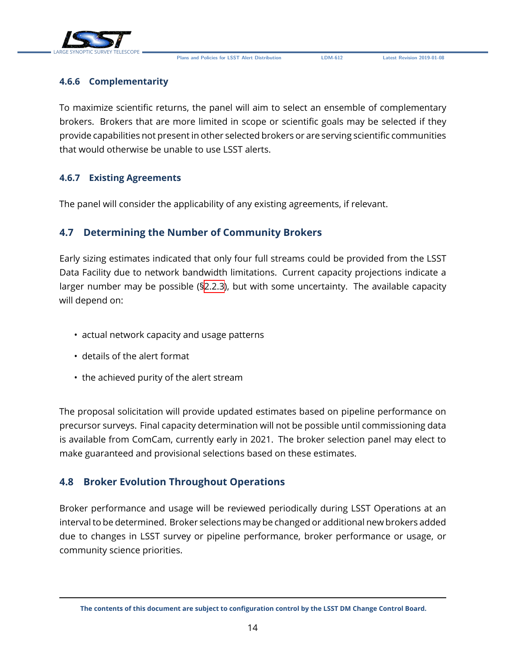

#### **4.6.6 Complementarity**

To maximize scientific returns, the panel will aim to select an ensemble of complementary brokers. Brokers that are more limited in scope or scientific goals may be selected if they provide capabilities not present in other selected brokers or are serving scientific communities that would otherwise be unable to use LSST alerts.

#### <span id="page-18-0"></span>**4.6.7 Existing Agreements**

The panel will consider the applicability of any existing agreements, if relevant.

### <span id="page-18-1"></span>**4.7 Determining the Number of Community Brokers**

Early sizing estimates indicated that only four full streams could be provided from the LSST Data Facility due to network bandwidth limitations. Current capacity projections indicate a larger number may be possible ([§2.2.3\)](#page-9-0), but with some uncertainty. The available capacity will depend on:

- actual network capacity and usage patterns
- details of the alert format
- the achieved purity of the alert stream

The proposal solicitation will provide updated estimates based on pipeline performance on precursor surveys. Final capacity determination will not be possible until commissioning data is available from ComCam, currently early in 2021. The broker selection panel may elect to make guaranteed and provisional selections based on these estimates.

### <span id="page-18-2"></span>**4.8 Broker Evolution Throughout Operations**

Broker performance and usage will be reviewed periodically during LSST Operations at an interval to be determined. Broker selections may be changed or additional new brokers added due to changes in LSST survey or pipeline performance, broker performance or usage, or community science priorities.

**The contents of this document are subject to configuration control by the LSST DM Change Control Board.**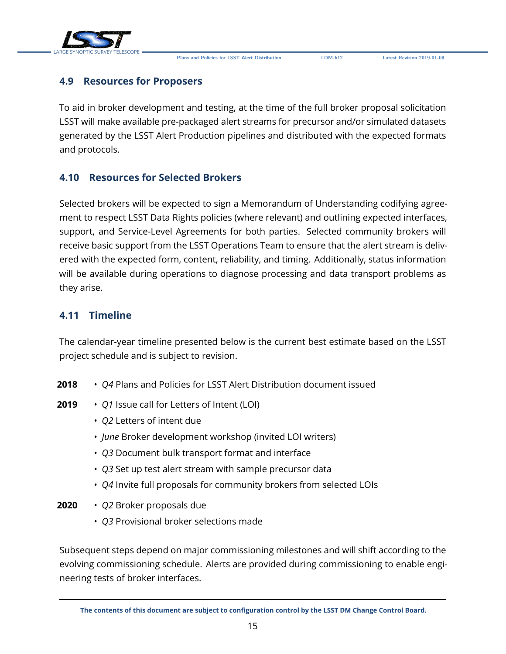

### <span id="page-19-0"></span>**4.9 Resources for Proposers**

To aid in broker development and testing, at the time of the full broker proposal solicitation LSST will make available pre-packaged alert streams for precursor and/or simulated datasets generated by the LSST Alert Production pipelines and distributed with the expected formats and protocols.

### <span id="page-19-1"></span>**4.10 Resources for Selected Brokers**

Selected brokers will be expected to sign a Memorandum of Understanding codifying agreement to respect LSST Data Rights policies (where relevant) and outlining expected interfaces, support, and Service-Level Agreements for both parties. Selected community brokers will receive basic support from the LSST Operations Team to ensure that the alert stream is delivered with the expected form, content, reliability, and timing. Additionally, status information will be available during operations to diagnose processing and data transport problems as they arise.

### <span id="page-19-2"></span>**4.11 Timeline**

The calendar-year timeline presented below is the current best estimate based on the LSST project schedule and is subject to revision.

- **2018** *Q4* Plans and Policies for LSST Alert Distribution document issued
- **2019** *Q1* Issue call for Letters of Intent (LOI)
	- *Q2* Letters of intent due
	- *June* Broker development workshop (invited LOI writers)
	- *Q3* Document bulk transport format and interface
	- *Q3* Set up test alert stream with sample precursor data
	- *Q4* Invite full proposals for community brokers from selected LOIs
- **2020** *Q2* Broker proposals due
	- *Q3* Provisional broker selections made

Subsequent steps depend on major commissioning milestones and will shift according to the evolving commissioning schedule. Alerts are provided during commissioning to enable engineering tests of broker interfaces.

**The contents of this document are subject to configuration control by the LSST DM Change Control Board.**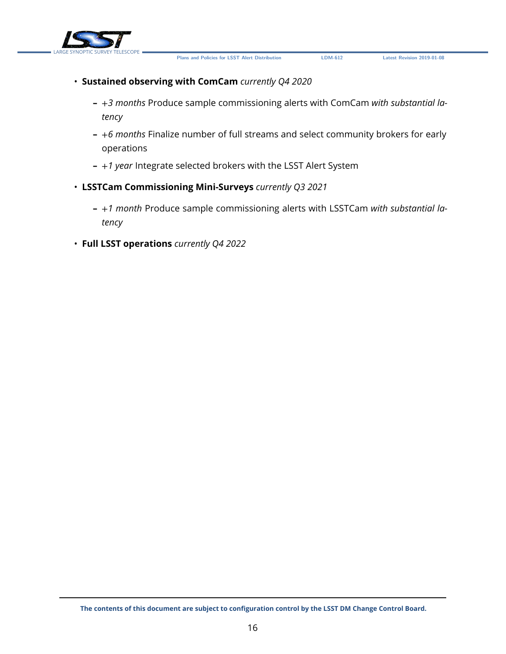





- **Sustained observing with ComCam** *currently Q4 2020*
	- **–** +*3 months* Produce sample commissioning alerts with ComCam *with substantial latency*
	- **–** +*6 months* Finalize number of full streams and select community brokers for early operations
	- **–** +*1 year* Integrate selected brokers with the LSST Alert System
- **LSSTCam Commissioning Mini-Surveys** *currently Q3 2021*
	- **–** +*1 month* Produce sample commissioning alerts with LSSTCam *with substantial latency*
- **Full LSST operations** *currently Q4 2022*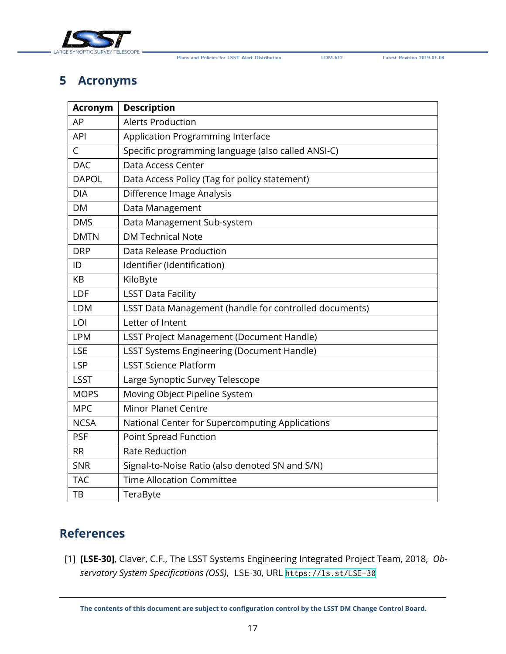

### <span id="page-21-0"></span>**5 Acronyms**

| <b>Acronym</b> | <b>Description</b>                                     |  |
|----------------|--------------------------------------------------------|--|
| AP             | <b>Alerts Production</b>                               |  |
| <b>API</b>     | Application Programming Interface                      |  |
| C              | Specific programming language (also called ANSI-C)     |  |
| <b>DAC</b>     | Data Access Center                                     |  |
| <b>DAPOL</b>   | Data Access Policy (Tag for policy statement)          |  |
| <b>DIA</b>     | Difference Image Analysis                              |  |
| DM             | Data Management                                        |  |
| <b>DMS</b>     | Data Management Sub-system                             |  |
| <b>DMTN</b>    | <b>DM Technical Note</b>                               |  |
| <b>DRP</b>     | Data Release Production                                |  |
| ID             | Identifier (Identification)                            |  |
| КB             | KiloByte                                               |  |
| LDF            | <b>LSST Data Facility</b>                              |  |
| <b>LDM</b>     | LSST Data Management (handle for controlled documents) |  |
| LOI            | Letter of Intent                                       |  |
| <b>LPM</b>     | <b>LSST Project Management (Document Handle)</b>       |  |
| <b>LSE</b>     | <b>LSST Systems Engineering (Document Handle)</b>      |  |
| <b>LSP</b>     | <b>LSST Science Platform</b>                           |  |
| <b>LSST</b>    | Large Synoptic Survey Telescope                        |  |
| <b>MOPS</b>    | Moving Object Pipeline System                          |  |
| <b>MPC</b>     | <b>Minor Planet Centre</b>                             |  |
| <b>NCSA</b>    | National Center for Supercomputing Applications        |  |
| <b>PSF</b>     | <b>Point Spread Function</b>                           |  |
| <b>RR</b>      | <b>Rate Reduction</b>                                  |  |
| <b>SNR</b>     | Signal-to-Noise Ratio (also denoted SN and S/N)        |  |
| <b>TAC</b>     | <b>Time Allocation Committee</b>                       |  |
| TB             | TeraByte                                               |  |

### **References**

<span id="page-21-1"></span>[1] **[LSE-30]**, Claver, C.F., The LSST Systems Engineering Integrated Project Team, 2018, *Observatory System Specifications (OSS)*, LSE-30, URL <https://ls.st/LSE-30>